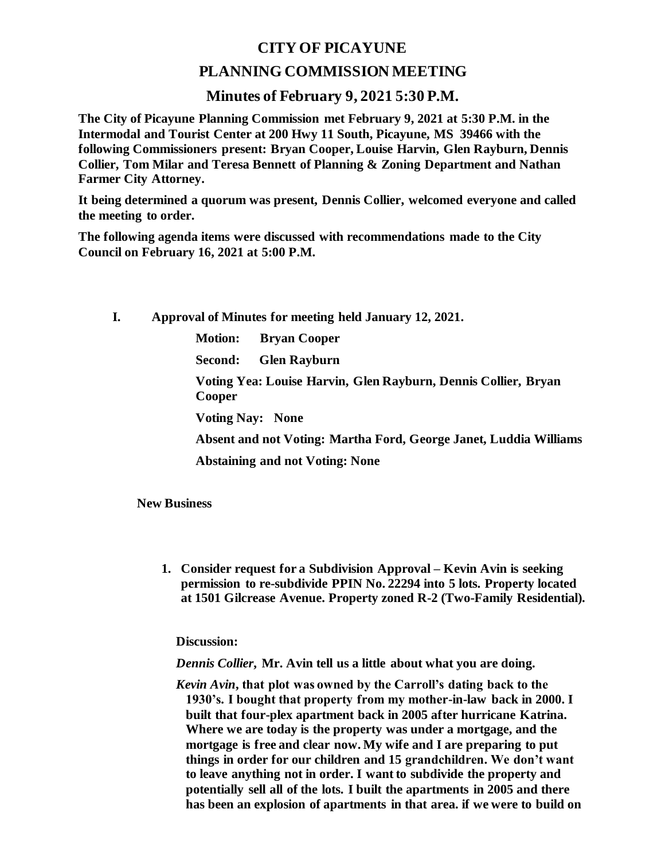## **CITY OF PICAYUNE**

## **PLANNING COMMISSION MEETING**

## **Minutes of February 9, 2021 5:30 P.M.**

**The City of Picayune Planning Commission met February 9, 2021 at 5:30 P.M. in the Intermodal and Tourist Center at 200 Hwy 11 South, Picayune, MS 39466 with the following Commissioners present: Bryan Cooper, Louise Harvin, Glen Rayburn, Dennis Collier, Tom Milar and Teresa Bennett of Planning & Zoning Department and Nathan Farmer City Attorney.**

**It being determined a quorum was present, Dennis Collier, welcomed everyone and called the meeting to order.**

**The following agenda items were discussed with recommendations made to the City Council on February 16, 2021 at 5:00 P.M.** 

**I. Approval of Minutes for meeting held January 12, 2021.**

**Motion: Bryan Cooper**

**Second: Glen Rayburn**

**Voting Yea: Louise Harvin, Glen Rayburn, Dennis Collier, Bryan Cooper**

**Voting Nay: None**

**Absent and not Voting: Martha Ford, George Janet, Luddia Williams**

**Abstaining and not Voting: None**

**New Business**

**1. Consider request for a Subdivision Approval – Kevin Avin is seeking permission to re-subdivide PPIN No. 22294 into 5 lots. Property located at 1501 Gilcrease Avenue. Property zoned R-2 (Two-Family Residential).**

**Discussion:**

*Dennis Collier***, Mr. Avin tell us a little about what you are doing.**

*Kevin Avin***, that plot was owned by the Carroll's dating back to the 1930's. I bought that property from my mother-in-law back in 2000. I built that four-plex apartment back in 2005 after hurricane Katrina. Where we are today is the property was under a mortgage, and the mortgage is free and clear now. My wife and I are preparing to put things in order for our children and 15 grandchildren. We don't want to leave anything not in order. I want to subdivide the property and potentially sell all of the lots. I built the apartments in 2005 and there has been an explosion of apartments in that area. if we were to build on**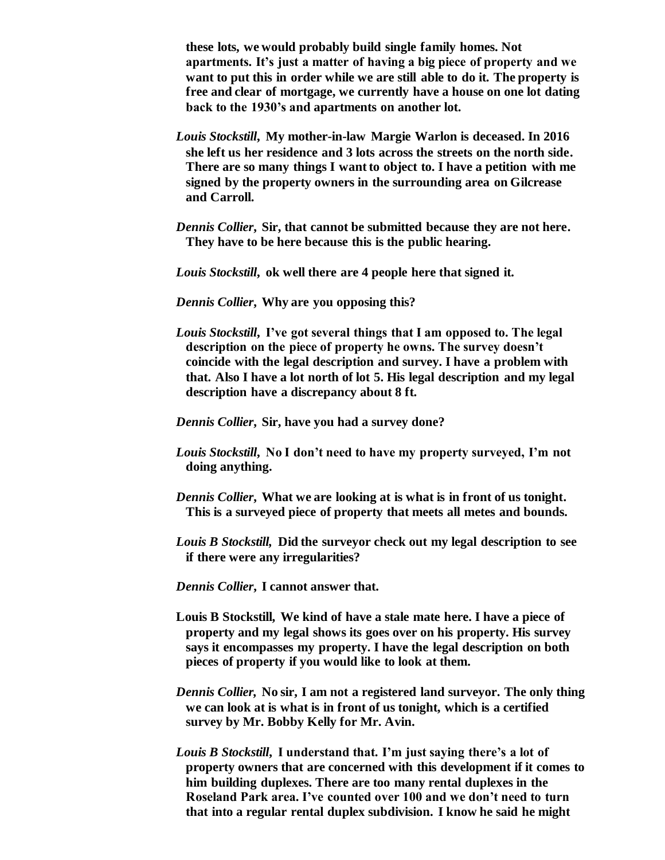**these lots, we would probably build single family homes. Not apartments. It's just a matter of having a big piece of property and we want to put this in order while we are still able to do it. The property is free and clear of mortgage, we currently have a house on one lot dating back to the 1930's and apartments on another lot.**

- *Louis Stockstill***, My mother-in-law Margie Warlon is deceased. In 2016 she left us her residence and 3 lots across the streets on the north side. There are so many things I want to object to. I have a petition with me signed by the property owners in the surrounding area on Gilcrease and Carroll.**
- *Dennis Collier***, Sir, that cannot be submitted because they are not here. They have to be here because this is the public hearing.**
- *Louis Stockstill***, ok well there are 4 people here that signed it.**
- *Dennis Collier***, Why are you opposing this?**
- *Louis Stockstill***, I've got several things that I am opposed to. The legal description on the piece of property he owns. The survey doesn't coincide with the legal description and survey. I have a problem with that. Also I have a lot north of lot 5. His legal description and my legal description have a discrepancy about 8 ft.**
- *Dennis Collier***, Sir, have you had a survey done?**
- *Louis Stockstill***, No I don't need to have my property surveyed, I'm not doing anything.**
- *Dennis Collier***, What we are looking at is what is in front of us tonight. This is a surveyed piece of property that meets all metes and bounds.**
- *Louis B Stockstill,* **Did the surveyor check out my legal description to see if there were any irregularities?**
- *Dennis Collier***, I cannot answer that.**
- **Louis B Stockstill, We kind of have a stale mate here. I have a piece of property and my legal shows its goes over on his property. His survey says it encompasses my property. I have the legal description on both pieces of property if you would like to look at them.**
- *Dennis Collier,* **No sir, I am not a registered land surveyor. The only thing we can look at is what is in front of us tonight, which is a certified survey by Mr. Bobby Kelly for Mr. Avin.**
- *Louis B Stockstill***, I understand that. I'm just saying there's a lot of property owners that are concerned with this development if it comes to him building duplexes. There are too many rental duplexes in the Roseland Park area. I've counted over 100 and we don't need to turn that into a regular rental duplex subdivision. I know he said he might**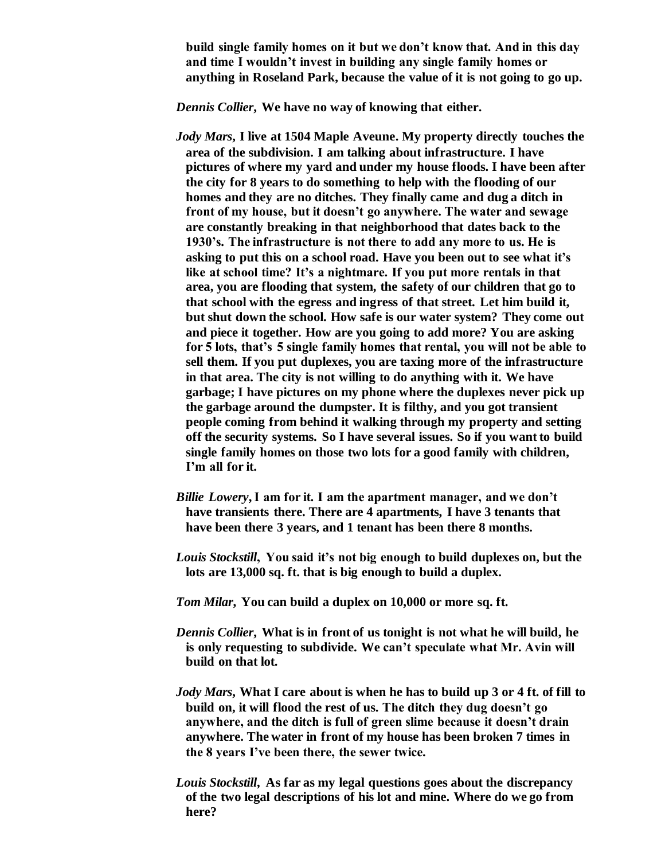**build single family homes on it but we don't know that. And in this day and time I wouldn't invest in building any single family homes or anything in Roseland Park, because the value of it is not going to go up.**

*Dennis Collier***, We have no way of knowing that either.**

- *Jody Mars***, I live at 1504 Maple Aveune. My property directly touches the area of the subdivision. I am talking about infrastructure. I have pictures of where my yard and under my house floods. I have been after the city for 8 years to do something to help with the flooding of our homes and they are no ditches. They finally came and dug a ditch in front of my house, but it doesn't go anywhere. The water and sewage are constantly breaking in that neighborhood that dates back to the 1930's. The infrastructure is not there to add any more to us. He is asking to put this on a school road. Have you been out to see what it's like at school time? It's a nightmare. If you put more rentals in that area, you are flooding that system, the safety of our children that go to that school with the egress and ingress of that street. Let him build it, but shut down the school. How safe is our water system? They come out and piece it together. How are you going to add more? You are asking for 5 lots, that's 5 single family homes that rental, you will not be able to sell them. If you put duplexes, you are taxing more of the infrastructure in that area. The city is not willing to do anything with it. We have garbage; I have pictures on my phone where the duplexes never pick up the garbage around the dumpster. It is filthy, and you got transient people coming from behind it walking through my property and setting off the security systems. So I have several issues. So if you want to build single family homes on those two lots for a good family with children, I'm all for it.**
- *Billie Lowery***, I am for it. I am the apartment manager, and we don't have transients there. There are 4 apartments, I have 3 tenants that have been there 3 years, and 1 tenant has been there 8 months.**
- *Louis Stockstill***, You said it's not big enough to build duplexes on, but the lots are 13,000 sq. ft. that is big enough to build a duplex.**
- *Tom Milar***, You can build a duplex on 10,000 or more sq. ft.**
- *Dennis Collier***, What is in front of us tonight is not what he will build, he is only requesting to subdivide. We can't speculate what Mr. Avin will build on that lot.**
- *Jody Mars***, What I care about is when he has to build up 3 or 4 ft. of fill to build on, it will flood the rest of us. The ditch they dug doesn't go anywhere, and the ditch is full of green slime because it doesn't drain anywhere. The water in front of my house has been broken 7 times in the 8 years I've been there, the sewer twice.**
- *Louis Stockstill***, As far as my legal questions goes about the discrepancy of the two legal descriptions of his lot and mine. Where do we go from here?**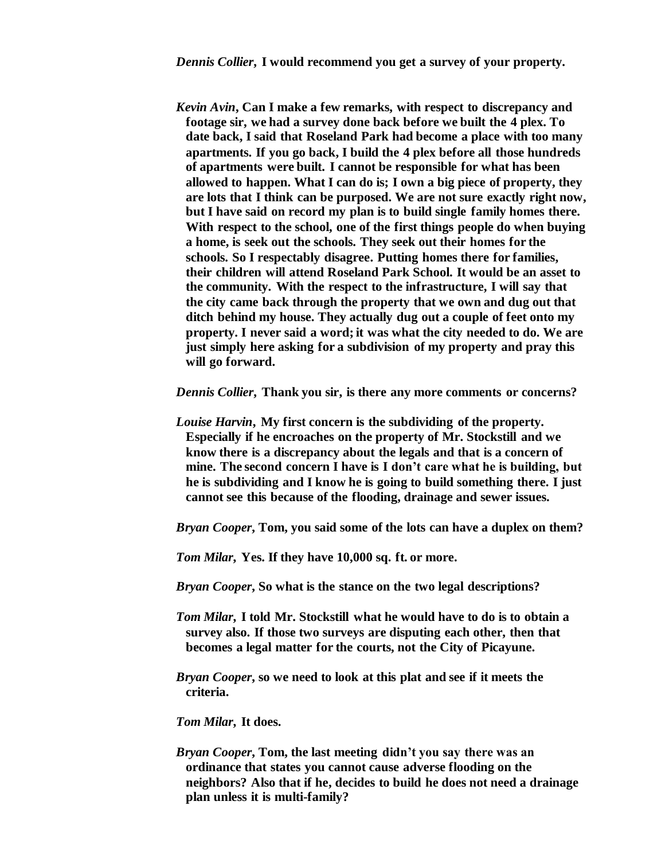*Kevin Avin***, Can I make a few remarks, with respect to discrepancy and footage sir, we had a survey done back before we built the 4 plex. To date back, I said that Roseland Park had become a place with too many apartments. If you go back, I build the 4 plex before all those hundreds of apartments were built. I cannot be responsible for what has been allowed to happen. What I can do is; I own a big piece of property, they are lots that I think can be purposed. We are not sure exactly right now, but I have said on record my plan is to build single family homes there. With respect to the school, one of the first things people do when buying a home, is seek out the schools. They seek out their homes for the schools. So I respectably disagree. Putting homes there for families, their children will attend Roseland Park School. It would be an asset to the community. With the respect to the infrastructure, I will say that the city came back through the property that we own and dug out that ditch behind my house. They actually dug out a couple of feet onto my property. I never said a word; it was what the city needed to do. We are just simply here asking for a subdivision of my property and pray this will go forward.**

*Dennis Collier***, Thank you sir, is there any more comments or concerns?**

*Louise Harvin***, My first concern is the subdividing of the property. Especially if he encroaches on the property of Mr. Stockstill and we know there is a discrepancy about the legals and that is a concern of mine. The second concern I have is I don't care what he is building, but he is subdividing and I know he is going to build something there. I just cannot see this because of the flooding, drainage and sewer issues.**

*Bryan Cooper***, Tom, you said some of the lots can have a duplex on them?**

*Tom Milar***, Yes. If they have 10,000 sq. ft. or more.**

*Bryan Cooper***, So what is the stance on the two legal descriptions?**

- *Tom Milar***, I told Mr. Stockstill what he would have to do is to obtain a survey also. If those two surveys are disputing each other, then that becomes a legal matter for the courts, not the City of Picayune.**
- *Bryan Cooper***, so we need to look at this plat and see if it meets the criteria.**

*Tom Milar***, It does.**

*Bryan Cooper***, Tom, the last meeting didn't you say there was an ordinance that states you cannot cause adverse flooding on the neighbors? Also that if he, decides to build he does not need a drainage plan unless it is multi-family?**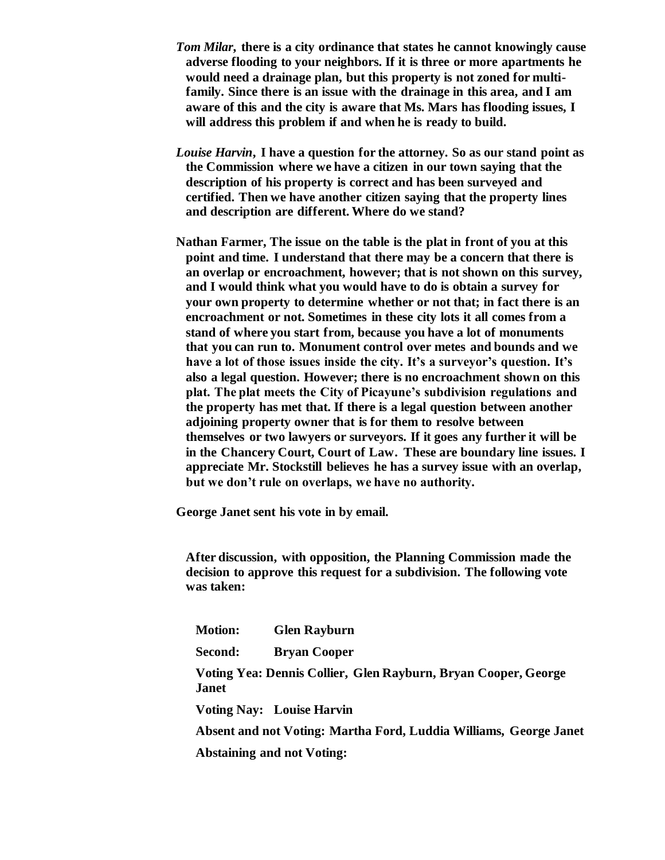- *Tom Milar***, there is a city ordinance that states he cannot knowingly cause adverse flooding to your neighbors. If it is three or more apartments he would need a drainage plan, but this property is not zoned for multifamily. Since there is an issue with the drainage in this area, and I am aware of this and the city is aware that Ms. Mars has flooding issues, I will address this problem if and when he is ready to build.**
- *Louise Harvin***, I have a question for the attorney. So as our stand point as the Commission where we have a citizen in our town saying that the description of his property is correct and has been surveyed and certified. Then we have another citizen saying that the property lines and description are different. Where do we stand?**
- **Nathan Farmer, The issue on the table is the plat in front of you at this point and time. I understand that there may be a concern that there is an overlap or encroachment, however; that is not shown on this survey, and I would think what you would have to do is obtain a survey for your own property to determine whether or not that; in fact there is an encroachment or not. Sometimes in these city lots it all comes from a stand of where you start from, because you have a lot of monuments that you can run to. Monument control over metes and bounds and we have a lot of those issues inside the city. It's a surveyor's question. It's also a legal question. However; there is no encroachment shown on this plat. The plat meets the City of Picayune's subdivision regulations and the property has met that. If there is a legal question between another adjoining property owner that is for them to resolve between themselves or two lawyers or surveyors. If it goes any further it will be in the Chancery Court, Court of Law. These are boundary line issues. I appreciate Mr. Stockstill believes he has a survey issue with an overlap, but we don't rule on overlaps, we have no authority.**

**George Janet sent his vote in by email.**

**After discussion, with opposition, the Planning Commission made the decision to approve this request for a subdivision. The following vote was taken:**

**Motion: Glen Rayburn**

**Second: Bryan Cooper**

**Voting Yea: Dennis Collier, Glen Rayburn, Bryan Cooper, George Janet**

**Voting Nay: Louise Harvin**

**Absent and not Voting: Martha Ford, Luddia Williams, George Janet**

 **Abstaining and not Voting:**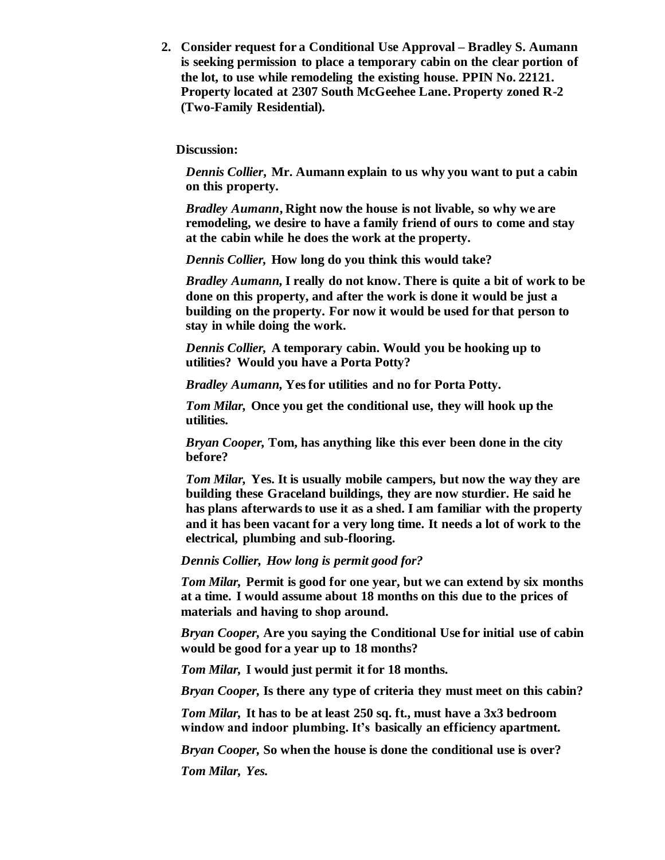**2. Consider request for a Conditional Use Approval – Bradley S. Aumann is seeking permission to place a temporary cabin on the clear portion of the lot, to use while remodeling the existing house. PPIN No. 22121. Property located at 2307 South McGeehee Lane. Property zoned R-2 (Two-Family Residential).**

**Discussion:**

*Dennis Collier***, Mr. Aumann explain to us why you want to put a cabin on this property.**

*Bradley Aumann***, Right now the house is not livable, so why we are remodeling, we desire to have a family friend of ours to come and stay at the cabin while he does the work at the property.** 

*Dennis Collier,* **How long do you think this would take?**

*Bradley Aumann,* **I really do not know. There is quite a bit of work to be done on this property, and after the work is done it would be just a building on the property. For now it would be used for that person to stay in while doing the work.**

*Dennis Collier,* **A temporary cabin. Would you be hooking up to utilities? Would you have a Porta Potty?**

*Bradley Aumann,* **Yes for utilities and no for Porta Potty.**

*Tom Milar,* **Once you get the conditional use, they will hook up the utilities.**

*Bryan Cooper,* **Tom, has anything like this ever been done in the city before?**

*Tom Milar,* **Yes. It is usually mobile campers, but now the way they are building these Graceland buildings, they are now sturdier. He said he has plans afterwards to use it as a shed. I am familiar with the property and it has been vacant for a very long time. It needs a lot of work to the electrical, plumbing and sub-flooring.** 

*Dennis Collier, How long is permit good for?*

*Tom Milar,* **Permit is good for one year, but we can extend by six months at a time. I would assume about 18 months on this due to the prices of materials and having to shop around.**

*Bryan Cooper,* **Are you saying the Conditional Use for initial use of cabin would be good for a year up to 18 months?**

*Tom Milar,* **I would just permit it for 18 months.**

*Bryan Cooper,* **Is there any type of criteria they must meet on this cabin?**

*Tom Milar,* **It has to be at least 250 sq. ft., must have a 3x3 bedroom window and indoor plumbing. It's basically an efficiency apartment.**

*Bryan Cooper,* **So when the house is done the conditional use is over?**

*Tom Milar, Yes.*